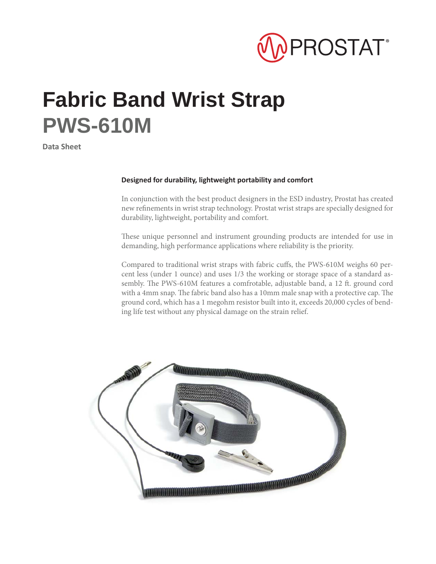

## **Fabric Band Wrist Strap PWS-610M**

**Data Sheet**

## **Designed for durability, lightweight portability and comfort**

In conjunction with the best product designers in the ESD industry, Prostat has created new refinements in wrist strap technology. Prostat wrist straps are specially designed for durability, lightweight, portability and comfort.

These unique personnel and instrument grounding products are intended for use in demanding, high performance applications where reliability is the priority.

Compared to traditional wrist straps with fabric cuffs, the PWS-610M weighs 60 percent less (under 1 ounce) and uses 1/3 the working or storage space of a standard assembly. The PWS-610M features a comfrotable, adjustable band, a 12 ft. ground cord with a 4mm snap. The fabric band also has a 10mm male snap with a protective cap. The ground cord, which has a 1 megohm resistor built into it, exceeds 20,000 cycles of bending life test without any physical damage on the strain relief.